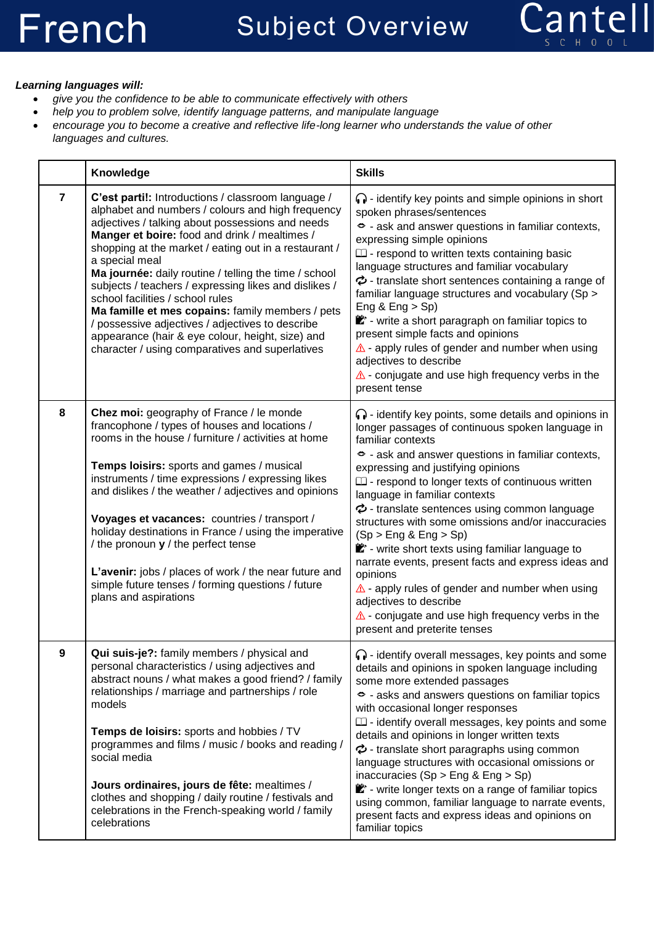

## *Learning languages will:*

- *give you the confidence to be able to communicate effectively with others*
- *help you to problem solve, identify language patterns, and manipulate language*
- *encourage you to become a creative and reflective life-long learner who understands the value of other languages and cultures.*

|                | Knowledge                                                                                                                                                                                                                                                                                                                                                                                                                                                                                                                                                                                                                                                    | <b>Skills</b>                                                                                                                                                                                                                                                                                                                                                                                                                                                                                                                                                                                                                                                                                                                                                                                  |
|----------------|--------------------------------------------------------------------------------------------------------------------------------------------------------------------------------------------------------------------------------------------------------------------------------------------------------------------------------------------------------------------------------------------------------------------------------------------------------------------------------------------------------------------------------------------------------------------------------------------------------------------------------------------------------------|------------------------------------------------------------------------------------------------------------------------------------------------------------------------------------------------------------------------------------------------------------------------------------------------------------------------------------------------------------------------------------------------------------------------------------------------------------------------------------------------------------------------------------------------------------------------------------------------------------------------------------------------------------------------------------------------------------------------------------------------------------------------------------------------|
| $\overline{7}$ | C'est parti!: Introductions / classroom language /<br>alphabet and numbers / colours and high frequency<br>adjectives / talking about possessions and needs<br>Manger et boire: food and drink / mealtimes /<br>shopping at the market / eating out in a restaurant /<br>a special meal<br>Ma journée: daily routine / telling the time / school<br>subjects / teachers / expressing likes and dislikes /<br>school facilities / school rules<br>Ma famille et mes copains: family members / pets<br>/ possessive adjectives / adjectives to describe<br>appearance (hair & eye colour, height, size) and<br>character / using comparatives and superlatives | $\bigcap$ - identify key points and simple opinions in short<br>spoken phrases/sentences<br>S - ask and answer questions in familiar contexts,<br>expressing simple opinions<br>$\square$ - respond to written texts containing basic<br>language structures and familiar vocabulary<br>$\phi$ - translate short sentences containing a range of<br>familiar language structures and vocabulary (Sp ><br>Eng & $Eng > Sp$ )<br>** - write a short paragraph on familiar topics to<br>present simple facts and opinions<br>$\triangle$ - apply rules of gender and number when using<br>adjectives to describe<br>$\triangle$ - conjugate and use high frequency verbs in the<br>present tense                                                                                                  |
| 8              | Chez moi: geography of France / le monde<br>francophone / types of houses and locations /<br>rooms in the house / furniture / activities at home<br>Temps loisirs: sports and games / musical<br>instruments / time expressions / expressing likes<br>and dislikes / the weather / adjectives and opinions<br>Voyages et vacances: countries / transport /<br>holiday destinations in France / using the imperative<br>/ the pronoun $y$ / the perfect tense<br>L'avenir: jobs / places of work / the near future and<br>simple future tenses / forming questions / future<br>plans and aspirations                                                          | $\bigcap$ - identify key points, some details and opinions in<br>longer passages of continuous spoken language in<br>familiar contexts<br>→ ask and answer questions in familiar contexts,<br>expressing and justifying opinions<br>$\square$ - respond to longer texts of continuous written<br>language in familiar contexts<br>$\phi$ - translate sentences using common language<br>structures with some omissions and/or inaccuracies<br>(Sp > Eng & Eng > Sp)<br>ex <sup>*</sup> - write short texts using familiar language to<br>narrate events, present facts and express ideas and<br>opinions<br>$\triangle$ - apply rules of gender and number when using<br>adjectives to describe<br>$\triangle$ - conjugate and use high frequency verbs in the<br>present and preterite tenses |
| 9              | Qui suis-je?: family members / physical and<br>personal characteristics / using adjectives and<br>abstract nouns / what makes a good friend? / family<br>relationships / marriage and partnerships / role<br>models<br>Temps de loisirs: sports and hobbies / TV<br>programmes and films / music / books and reading /<br>social media<br>Jours ordinaires, jours de fête: mealtimes /<br>clothes and shopping / daily routine / festivals and<br>celebrations in the French-speaking world / family<br>celebrations                                                                                                                                         | $\bigcap$ - identify overall messages, key points and some<br>details and opinions in spoken language including<br>some more extended passages<br>◇ - asks and answers questions on familiar topics<br>with occasional longer responses<br>$\Box$ - identify overall messages, key points and some<br>details and opinions in longer written texts<br>$\phi$ - translate short paragraphs using common<br>language structures with occasional omissions or<br>inaccuracies (Sp > Eng & Eng > Sp)<br>Y - write longer texts on a range of familiar topics<br>using common, familiar language to narrate events,<br>present facts and express ideas and opinions on<br>familiar topics                                                                                                           |